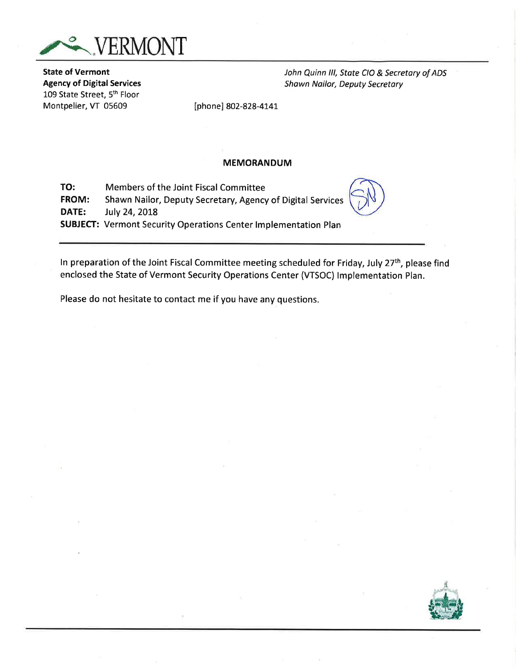

State of Vermont Agency of Digital Services 109 State Street, 5th Floor Montpelier, VT 05609

John Quinn lll, State CIO & Secretory of ADS Shawn Nailor, Deputy Secretary

[phone] 802-828-4141

#### MEMORANDUM

TO: Members of the Joint Fiscal Committee FROM: Shawn Nailor, Deputy Secretary, Agency of Digital Services **DATE:** July 24, 2018 SUBJECT: Vermont Security Operations Center lmplementation Plan

In preparation of the Joint Fiscal Committee meeting scheduled for Friday, July 27<sup>th</sup>, please find enclosed the State of Vermont Security Operations Center (VTSOC) lmplementation Plan.

Please do not hesitate to contact me if you have any questions.

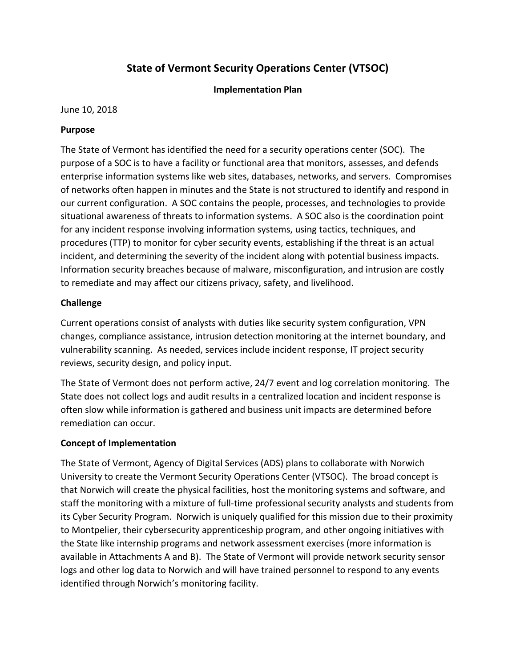## **State of Vermont Security Operations Center (VTSOC)**

### **Implementation Plan**

June 10, 2018

### **Purpose**

The State of Vermont has identified the need for a security operations center (SOC). The purpose of a SOC is to have a facility or functional area that monitors, assesses, and defends enterprise information systems like web sites, databases, networks, and servers. Compromises of networks often happen in minutes and the State is not structured to identify and respond in our current configuration. A SOC contains the people, processes, and technologies to provide situational awareness of threats to information systems. A SOC also is the coordination point for any incident response involving information systems, using tactics, techniques, and procedures (TTP) to monitor for cyber security events, establishing if the threat is an actual incident, and determining the severity of the incident along with potential business impacts. Information security breaches because of malware, misconfiguration, and intrusion are costly to remediate and may affect our citizens privacy, safety, and livelihood.

### **Challenge**

Current operations consist of analysts with duties like security system configuration, VPN changes, compliance assistance, intrusion detection monitoring at the internet boundary, and vulnerability scanning. As needed, services include incident response, IT project security reviews, security design, and policy input.

The State of Vermont does not perform active, 24/7 event and log correlation monitoring. The State does not collect logs and audit results in a centralized location and incident response is often slow while information is gathered and business unit impacts are determined before remediation can occur.

### **Concept of Implementation**

The State of Vermont, Agency of Digital Services (ADS) plans to collaborate with Norwich University to create the Vermont Security Operations Center (VTSOC). The broad concept is that Norwich will create the physical facilities, host the monitoring systems and software, and staff the monitoring with a mixture of full-time professional security analysts and students from its Cyber Security Program. Norwich is uniquely qualified for this mission due to their proximity to Montpelier, their cybersecurity apprenticeship program, and other ongoing initiatives with the State like internship programs and network assessment exercises (more information is available in Attachments A and B). The State of Vermont will provide network security sensor logs and other log data to Norwich and will have trained personnel to respond to any events identified through Norwich's monitoring facility.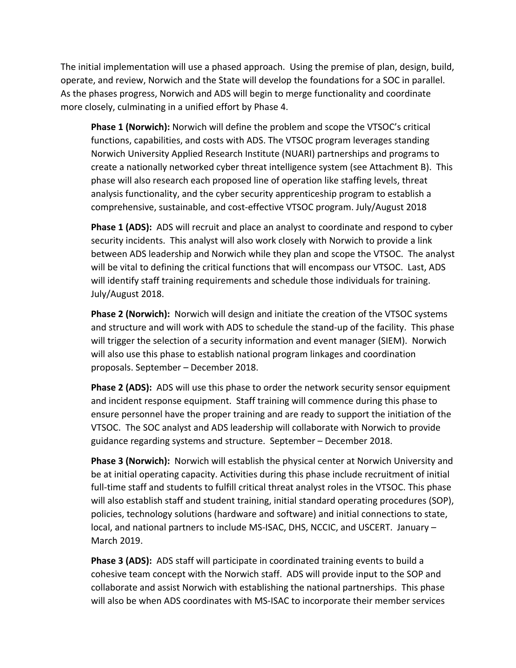The initial implementation will use a phased approach. Using the premise of plan, design, build, operate, and review, Norwich and the State will develop the foundations for a SOC in parallel. As the phases progress, Norwich and ADS will begin to merge functionality and coordinate more closely, culminating in a unified effort by Phase 4.

**Phase 1 (Norwich):** Norwich will define the problem and scope the VTSOC's critical functions, capabilities, and costs with ADS. The VTSOC program leverages standing Norwich University Applied Research Institute (NUARI) partnerships and programs to create a nationally networked cyber threat intelligence system (see Attachment B). This phase will also research each proposed line of operation like staffing levels, threat analysis functionality, and the cyber security apprenticeship program to establish a comprehensive, sustainable, and cost-effective VTSOC program. July/August 2018

**Phase 1 (ADS):** ADS will recruit and place an analyst to coordinate and respond to cyber security incidents. This analyst will also work closely with Norwich to provide a link between ADS leadership and Norwich while they plan and scope the VTSOC. The analyst will be vital to defining the critical functions that will encompass our VTSOC. Last, ADS will identify staff training requirements and schedule those individuals for training. July/August 2018.

**Phase 2 (Norwich):** Norwich will design and initiate the creation of the VTSOC systems and structure and will work with ADS to schedule the stand-up of the facility. This phase will trigger the selection of a security information and event manager (SIEM). Norwich will also use this phase to establish national program linkages and coordination proposals. September – December 2018.

**Phase 2 (ADS):** ADS will use this phase to order the network security sensor equipment and incident response equipment. Staff training will commence during this phase to ensure personnel have the proper training and are ready to support the initiation of the VTSOC. The SOC analyst and ADS leadership will collaborate with Norwich to provide guidance regarding systems and structure. September – December 2018.

**Phase 3 (Norwich):** Norwich will establish the physical center at Norwich University and be at initial operating capacity. Activities during this phase include recruitment of initial full-time staff and students to fulfill critical threat analyst roles in the VTSOC. This phase will also establish staff and student training, initial standard operating procedures (SOP), policies, technology solutions (hardware and software) and initial connections to state, local, and national partners to include MS-ISAC, DHS, NCCIC, and USCERT. January – March 2019.

**Phase 3 (ADS):** ADS staff will participate in coordinated training events to build a cohesive team concept with the Norwich staff. ADS will provide input to the SOP and collaborate and assist Norwich with establishing the national partnerships. This phase will also be when ADS coordinates with MS-ISAC to incorporate their member services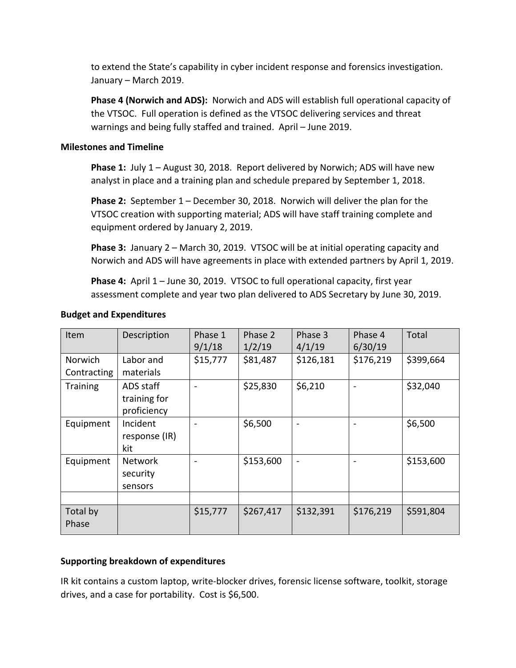to extend the State's capability in cyber incident response and forensics investigation. January – March 2019.

**Phase 4 (Norwich and ADS):** Norwich and ADS will establish full operational capacity of the VTSOC. Full operation is defined as the VTSOC delivering services and threat warnings and being fully staffed and trained. April – June 2019.

### **Milestones and Timeline**

**Phase 1:** July 1 – August 30, 2018. Report delivered by Norwich; ADS will have new analyst in place and a training plan and schedule prepared by September 1, 2018.

**Phase 2:** September 1 – December 30, 2018. Norwich will deliver the plan for the VTSOC creation with supporting material; ADS will have staff training complete and equipment ordered by January 2, 2019.

**Phase 3:** January 2 – March 30, 2019. VTSOC will be at initial operating capacity and Norwich and ADS will have agreements in place with extended partners by April 1, 2019.

**Phase 4:** April 1 – June 30, 2019. VTSOC to full operational capacity, first year assessment complete and year two plan delivered to ADS Secretary by June 30, 2019.

| Item                   | Description                              | Phase 1<br>9/1/18        | Phase 2<br>1/2/19 | Phase 3<br>4/1/19            | Phase 4<br>6/30/19 | Total     |
|------------------------|------------------------------------------|--------------------------|-------------------|------------------------------|--------------------|-----------|
| Norwich<br>Contracting | Labor and<br>materials                   | \$15,777                 | \$81,487          | \$126,181                    | \$176,219          | \$399,664 |
| <b>Training</b>        | ADS staff<br>training for<br>proficiency |                          | \$25,830          | \$6,210                      |                    | \$32,040  |
| Equipment              | Incident<br>response (IR)<br>kit         | $\overline{\phantom{0}}$ | \$6,500           | $\qquad \qquad$              |                    | \$6,500   |
| Equipment              | <b>Network</b><br>security<br>sensors    |                          | \$153,600         | $\qquad \qquad \blacksquare$ |                    | \$153,600 |
|                        |                                          |                          |                   |                              |                    |           |
| Total by<br>Phase      |                                          | \$15,777                 | \$267,417         | \$132,391                    | \$176,219          | \$591,804 |

### **Budget and Expenditures**

### **Supporting breakdown of expenditures**

IR kit contains a custom laptop, write-blocker drives, forensic license software, toolkit, storage drives, and a case for portability. Cost is \$6,500.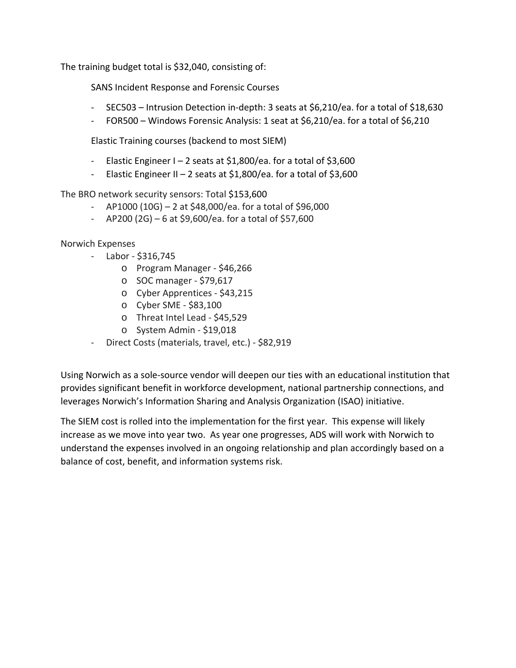The training budget total is \$32,040, consisting of:

SANS Incident Response and Forensic Courses

- SEC503 Intrusion Detection in-depth: 3 seats at \$6,210/ea. for a total of \$18,630
- FOR500 Windows Forensic Analysis: 1 seat at \$6,210/ea. for a total of \$6,210

Elastic Training courses (backend to most SIEM)

- Elastic Engineer  $I 2$  seats at \$1,800/ea. for a total of \$3,600
- Elastic Engineer II 2 seats at  $$1,800/e$ a. for a total of  $$3,600$

The BRO network security sensors: Total \$153,600

- $-$  AP1000 (10G) 2 at \$48,000/ea. for a total of \$96,000
- $-$  AP200 (2G) 6 at \$9,600/ea. for a total of \$57,600

Norwich Expenses

- Labor \$316,745
	- o Program Manager \$46,266
	- o SOC manager \$79,617
	- o Cyber Apprentices \$43,215
	- o Cyber SME \$83,100
	- o Threat Intel Lead \$45,529
	- o System Admin \$19,018
- Direct Costs (materials, travel, etc.) \$82,919

Using Norwich as a sole-source vendor will deepen our ties with an educational institution that provides significant benefit in workforce development, national partnership connections, and leverages Norwich's Information Sharing and Analysis Organization (ISAO) initiative.

The SIEM cost is rolled into the implementation for the first year. This expense will likely increase as we move into year two. As year one progresses, ADS will work with Norwich to understand the expenses involved in an ongoing relationship and plan accordingly based on a balance of cost, benefit, and information systems risk.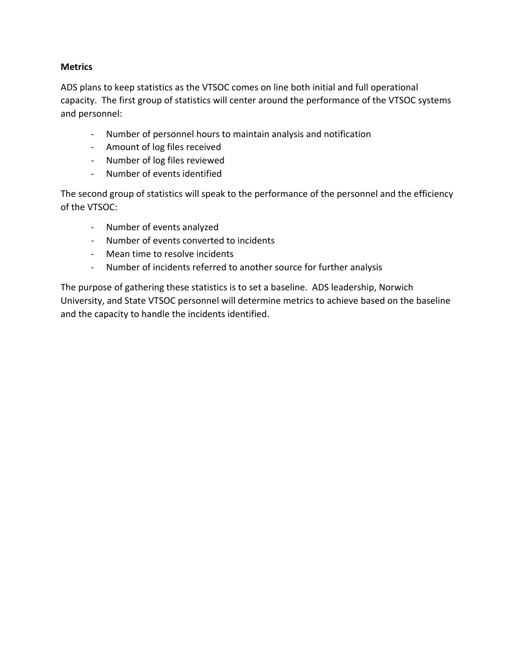### **Metrics**

ADS plans to keep statistics as the VTSOC comes on line both initial and full operational capacity. The first group of statistics will center around the performance of the VTSOC systems and personnel:

- Number of personnel hours to maintain analysis and notification
- Amount of log files received
- Number of log files reviewed
- Number of events identified

The second group of statistics will speak to the performance of the personnel and the efficiency of the VTSOC:

- Number of events analyzed
- Number of events converted to incidents
- Mean time to resolve incidents
- Number of incidents referred to another source for further analysis

The purpose of gathering these statistics is to set a baseline. ADS leadership, Norwich University, and State VTSOC personnel will determine metrics to achieve based on the baseline and the capacity to handle the incidents identified.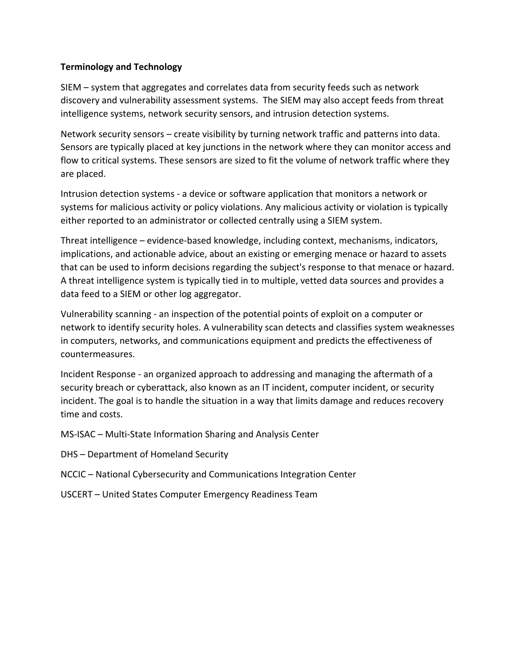### **Terminology and Technology**

SIEM – system that aggregates and correlates data from security feeds such as network discovery and vulnerability assessment systems. The SIEM may also accept feeds from threat intelligence systems, network security sensors, and intrusion detection systems.

Network security sensors – create visibility by turning network traffic and patterns into data. Sensors are typically placed at key junctions in the network where they can monitor access and flow to critical systems. These sensors are sized to fit the volume of network traffic where they are placed.

Intrusion detection systems - a device or software application that monitors a network or systems for malicious activity or policy violations. Any malicious activity or violation is typically either reported to an administrator or collected centrally using a SIEM system.

Threat intelligence – evidence-based knowledge, including context, mechanisms, indicators, implications, and actionable advice, about an existing or emerging menace or hazard to assets that can be used to inform decisions regarding the subject's response to that menace or hazard. A threat intelligence system is typically tied in to multiple, vetted data sources and provides a data feed to a SIEM or other log aggregator.

Vulnerability scanning - an inspection of the potential points of exploit on a computer or network to identify security holes. A vulnerability scan detects and classifies system weaknesses in computers, networks, and communications equipment and predicts the effectiveness of countermeasures.

Incident Response - an organized approach to addressing and managing the aftermath of a security breach or cyberattack, also known as an IT incident, computer incident, or security incident. The goal is to handle the situation in a way that limits damage and reduces recovery time and costs.

MS-ISAC – Multi-State Information Sharing and Analysis Center

- DHS Department of Homeland Security
- NCCIC National Cybersecurity and Communications Integration Center
- USCERT United States Computer Emergency Readiness Team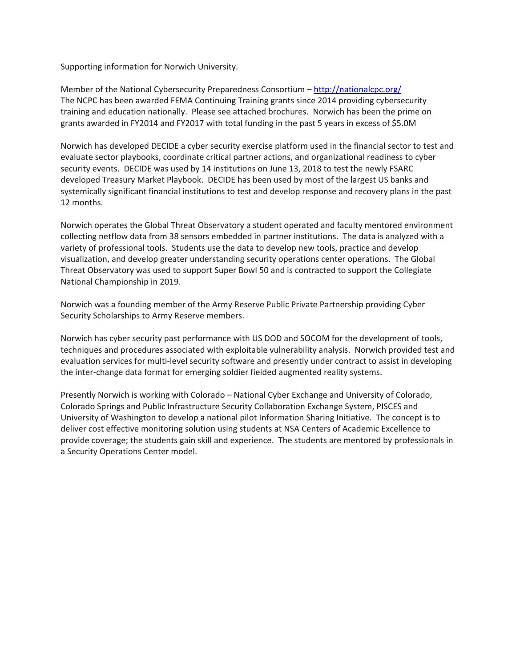Supporting information for Norwich University.

Member of the National Cybersecurity Preparedness Consortium – <http://nationalcpc.org/> The NCPC has been awarded FEMA Continuing Training grants since 2014 providing cybersecurity training and education nationally. Please see attached brochures. Norwich has been the prime on grants awarded in FY2014 and FY2017 with total funding in the past 5 years in excess of \$5.0M

Norwich has developed DECIDE a cyber security exercise platform used in the financial sector to test and evaluate sector playbooks, coordinate critical partner actions, and organizational readiness to cyber security events. DECIDE was used by 14 institutions on June 13, 2018 to test the newly FSARC developed Treasury Market Playbook. DECIDE has been used by most of the largest US banks and systemically significant financial institutions to test and develop response and recovery plans in the past 12 months.

Norwich operates the Global Threat Observatory a student operated and faculty mentored environment collecting netflow data from 38 sensors embedded in partner institutions. The data is analyzed with a variety of professional tools. Students use the data to develop new tools, practice and develop visualization, and develop greater understanding security operations center operations. The Global Threat Observatory was used to support Super Bowl 50 and is contracted to support the Collegiate National Championship in 2019.

Norwich was a founding member of the Army Reserve Public Private Partnership providing Cyber Security Scholarships to Army Reserve members.

Norwich has cyber security past performance with US DOD and SOCOM for the development of tools, techniques and procedures associated with exploitable vulnerability analysis. Norwich provided test and evaluation services for multi-level security software and presently under contract to assist in developing the inter-change data format for emerging soldier fielded augmented reality systems.

Presently Norwich is working with Colorado – National Cyber Exchange and University of Colorado, Colorado Springs and Public Infrastructure Security Collaboration Exchange System, PISCES and University of Washington to develop a national pilot Information Sharing Initiative. The concept is to deliver cost effective monitoring solution using students at NSA Centers of Academic Excellence to provide coverage; the students gain skill and experience. The students are mentored by professionals in a Security Operations Center model.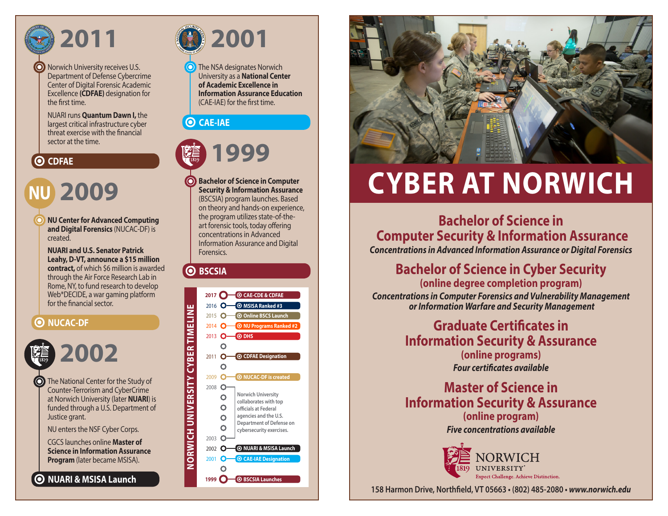

I

Norwich University receives U.S. Department of Defense Cybercrime Center of Digital Forensic Academic Excellence **(CDFAE)** designation for the first time.

NUARI runs **Quantum Dawn I,** the largest critical infrastructure cyber threat exercise with the financial sector at the time.

## **O** CDFAE

# **2009 NU**

**NU Center for Advanced Computing and Digital Forensics** (NUCAC-DF) is created.

**NUARI and U.S. Senator Patrick Leahy, D-VT, announce a \$15 million contract,** of which \$6 million is awarded through the Air Force Research Lab in Rome, NY, to fund research to develop Web\*DECIDE, a war gaming platform for the financial sector.

### **O** NUCAC-DF



**O** The National Center for the Study of Counter-Terrorism and CyberCrime at Norwich University (later **NUARI**) is funded through a U.S. Department of Justice grant.

NU enters the NSF Cyber Corps.

CGCS launches online **Master of Science in Information Assurance Program** (later became MSISA).

**NUARI & MSISA Launch**



The NSA designates Norwich University as a **National Center of Academic Excellence in Information Assurance Education**  (CAE-IAE) for the first time.

### **CAE-IAE**



**Bachelor of Science in Computer Security & Information Assurance** (BSCSIA) program launches. Based on theory and hands-on experience, the program utilizes state-of-theart forensic tools, today offering concentrations in Advanced Information Assurance and Digital Forensics.

#### **O** BSCSIA





# **CYBER AT NORWICH**

**Bachelor of Science in Computer Security & Information Assurance** *Concentrations in Advanced Information Assurance or Digital Forensics*

**Bachelor of Science in Cyber Security**

**(online degree completion program)** *Concentrations in Computer Forensics and Vulnerability Management or Information Warfare and Security Management*

> **Graduate Certificates in Information Security & Assurance (online programs)**  *Four certificates available*

> **Master of Science in Information Security & Assurance (online program)** *Five concentrations available*



**158 Harmon Drive, Northfield, VT 05663 • (802) 485-2080 •** *www.norwich.edu*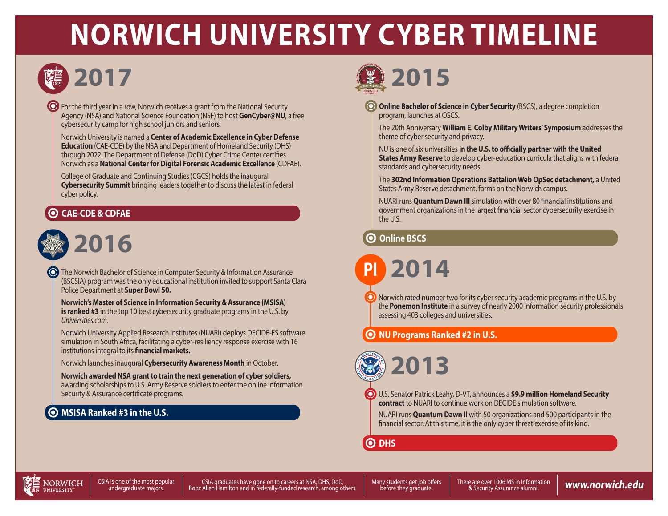# **NORWICH UNIVERSITY CYBER TIMELINE**



# **2017**

For the third year in a row, Norwich receives a grant from the National Security Agency (NSA) and National Science Foundation (NSF) to host **GenCyber@NU**, a free cybersecurity camp for high school juniors and seniors.

Norwich University is named a **Center of Academic Excellence in Cyber Defense Education** (CAE-CDE) by the NSA and Department of Homeland Security (DHS) through 2022. The Department of Defense (DoD) Cyber Crime Center certifies Norwich as a **National Center for Digital Forensic Academic Excellence** (CDFAE).

College of Graduate and Continuing Studies (CGCS) holds the inaugural **Cybersecurity Summit** bringing leaders together to discuss the latest in federal cyber policy.

# **CAE-CDE & CDFAE**



The Norwich Bachelor of Science in Computer Security & Information Assurance (BSCSIA) program was the only educational institution invited to support Santa Clara Police Department at **Super Bowl 50.**

**Norwich's Master of Science in Information Security & Assurance (MSISA) is ranked #3** in the top 10 best cybersecurity graduate programs in the U.S. by *Universities.com.*

Norwich University Applied Research Institutes (NUARI) deploys DECIDE-FS software simulation in South Africa, facilitating a cyber-resiliency response exercise with 16 institutions integral to its **financial markets.**

Norwich launches inaugural **Cybersecurity Awareness Month** in October.

**Norwich awarded NSA grant to train the next generation of cyber soldiers,** awarding scholarships to U.S. Army Reserve soldiers to enter the online Information Security & Assurance certificate programs.

# **MSISA Ranked #3 in the U.S.**



**Online Bachelor of Science in Cyber Security** (BSCS), a degree completion program, launches at CGCS.

The 20th Anniversary **William E. Colby Military Writers' Symposium** addresses the theme of cyber security and privacy.

NU is one of six universities **in the U.S. to officially partner with the United States Army Reserve** to develop cyber-education curricula that aligns with federal standards and cybersecurity needs.

The **302nd Information Operations Battalion Web OpSec detachment,** a United States Army Reserve detachment, forms on the Norwich campus.

NUARI runs **Quantum Dawn III** simulation with over 80 financial institutions and government organizations in the largest financial sector cybersecurity exercise in the U.S.

### **Online BSCS**

**2014 PI**

 $\bigcirc$  Norwich rated number two for its cyber security academic programs in the U.S. by the **Ponemon Institute** in a survey of nearly 2000 information security professionals assessing 403 colleges and universities.

**NU Programs Ranked #2 in U.S.**

**2013**

U.S. Senator Patrick Leahy, D-VT, announces a **\$9.9 million Homeland Security contract** to NUARI to continue work on DECIDE simulation software.

NUARI runs **Quantum Dawn II** with 50 organizations and 500 participants in the financial sector. At this time, it is the only cyber threat exercise of its kind.

**O** DHS



CSIA is one of the most popular<br>undergraduate majors.

i is one of the most popular and the most popular (SIA graduates have gone on to careers at NSA, DHS, DoD, which may students get job offers and there are over 1006 MS in Information (WWW.NOTWIC**h.edu**<br>undergraduate majors CSIA graduates have gone on to careers at NSA, DHS, DoD,

before they graduate.

There are over 1006 MS in Information & Security Assurance alumni.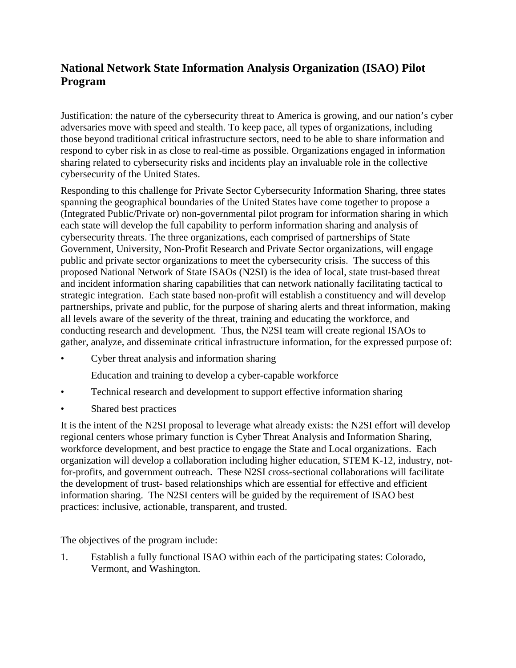## **National Network State Information Analysis Organization (ISAO) Pilot Program**

Justification: the nature of the cybersecurity threat to America is growing, and our nation's cyber adversaries move with speed and stealth. To keep pace, all types of organizations, including those beyond traditional critical infrastructure sectors, need to be able to share information and respond to cyber risk in as close to real-time as possible. Organizations engaged in information sharing related to cybersecurity risks and incidents play an invaluable role in the collective cybersecurity of the United States.

Responding to this challenge for Private Sector Cybersecurity Information Sharing, three states spanning the geographical boundaries of the United States have come together to propose a (Integrated Public/Private or) non-governmental pilot program for information sharing in which each state will develop the full capability to perform information sharing and analysis of cybersecurity threats. The three organizations, each comprised of partnerships of State Government, University, Non-Profit Research and Private Sector organizations, will engage public and private sector organizations to meet the cybersecurity crisis. The success of this proposed National Network of State ISAOs (N2SI) is the idea of local, state trust-based threat and incident information sharing capabilities that can network nationally facilitating tactical to strategic integration. Each state based non-profit will establish a constituency and will develop partnerships, private and public, for the purpose of sharing alerts and threat information, making all levels aware of the severity of the threat, training and educating the workforce, and conducting research and development. Thus, the N2SI team will create regional ISAOs to gather, analyze, and disseminate critical infrastructure information, for the expressed purpose of:

• Cyber threat analysis and information sharing

Education and training to develop a cyber-capable workforce

- Technical research and development to support effective information sharing
- Shared best practices

It is the intent of the N2SI proposal to leverage what already exists: the N2SI effort will develop regional centers whose primary function is Cyber Threat Analysis and Information Sharing, workforce development, and best practice to engage the State and Local organizations. Each organization will develop a collaboration including higher education, STEM K-12, industry, notfor-profits, and government outreach. These N2SI cross-sectional collaborations will facilitate the development of trust- based relationships which are essential for effective and efficient information sharing. The N2SI centers will be guided by the requirement of ISAO best practices: inclusive, actionable, transparent, and trusted.

The objectives of the program include:

1. Establish a fully functional ISAO within each of the participating states: Colorado, Vermont, and Washington.